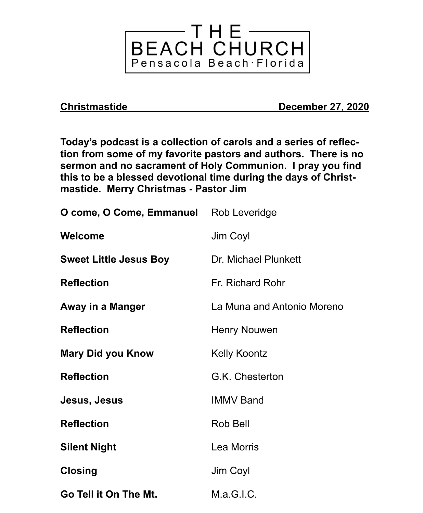

**Christmastide December 27, 2020**

**Today's podcast is a collection of carols and a series of reflection from some of my favorite pastors and authors. There is no sermon and no sacrament of Holy Communion. I pray you find this to be a blessed devotional time during the days of Christmastide. Merry Christmas - Pastor Jim**

| <b>O come, O Come, Emmanuel</b> Rob Leveridge |                            |
|-----------------------------------------------|----------------------------|
| <b>Welcome</b>                                | Jim Coyl                   |
| <b>Sweet Little Jesus Boy</b>                 | Dr. Michael Plunkett       |
| <b>Reflection</b>                             | Fr. Richard Rohr           |
| Away in a Manger                              | La Muna and Antonio Moreno |
| <b>Reflection</b>                             | Henry Nouwen               |
| <b>Mary Did you Know</b>                      | <b>Kelly Koontz</b>        |
| <b>Reflection</b>                             | G.K. Chesterton            |
| Jesus, Jesus                                  | <b>IMMV Band</b>           |
| <b>Reflection</b>                             | Rob Bell                   |
| <b>Silent Night</b>                           | Lea Morris                 |
| <b>Closing</b>                                | Jim Coyl                   |
| Go Tell it On The Mt.                         | M.a.G.I.C.                 |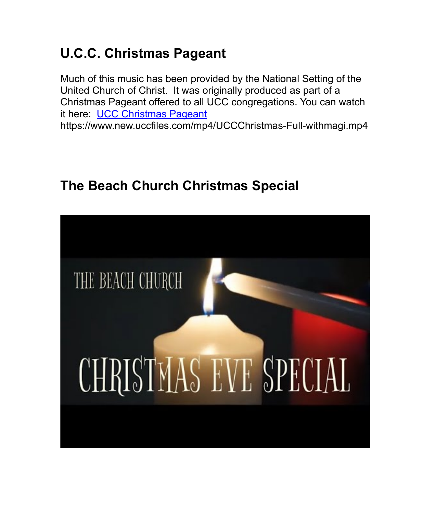## **U.C.C. Christmas Pageant**

Much of this music has been provided by the National Setting of the United Church of Christ. It was originally produced as part of a Christmas Pageant offered to all UCC congregations. You can watch it here: [UCC Christmas Pageant](https://www.new.uccfiles.com/mp4/UCCChristmas-Full-withmagi.mp4) https://www.new.uccfiles.com/mp4/UCCChristmas-Full-withmagi.mp4

## **The Beach Church Christmas Special**

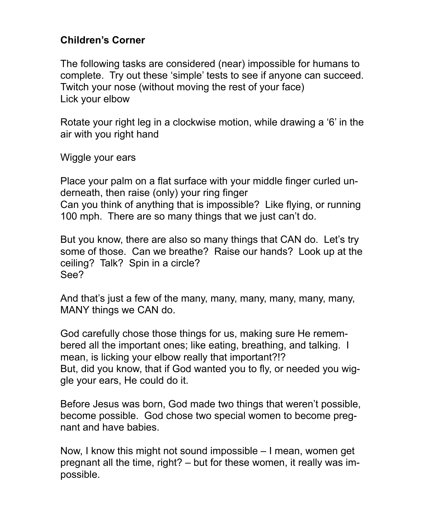## **Children's Corner**

The following tasks are considered (near) impossible for humans to complete. Try out these 'simple' tests to see if anyone can succeed. Twitch your nose (without moving the rest of your face) Lick your elbow

Rotate your right leg in a clockwise motion, while drawing a '6' in the air with you right hand

Wiggle your ears

Place your palm on a flat surface with your middle finger curled underneath, then raise (only) your ring finger Can you think of anything that is impossible? Like flying, or running 100 mph. There are so many things that we just can't do.

But you know, there are also so many things that CAN do. Let's try some of those. Can we breathe? Raise our hands? Look up at the ceiling? Talk? Spin in a circle? See?

And that's just a few of the many, many, many, many, many, many, MANY things we CAN do.

God carefully chose those things for us, making sure He remembered all the important ones; like eating, breathing, and talking. I mean, is licking your elbow really that important?!? But, did you know, that if God wanted you to fly, or needed you wiggle your ears, He could do it.

Before Jesus was born, God made two things that weren't possible, become possible. God chose two special women to become pregnant and have babies.

Now, I know this might not sound impossible – I mean, women get pregnant all the time, right? – but for these women, it really was impossible.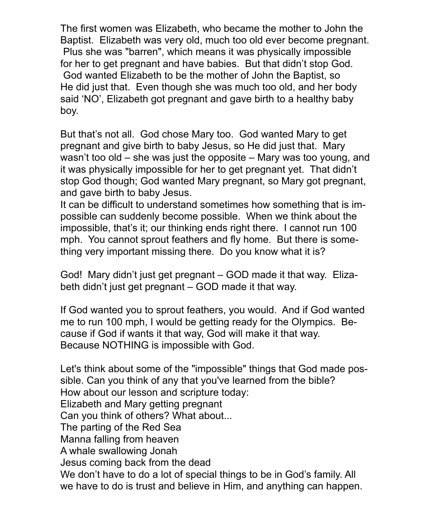The first women was Elizabeth, who became the mother to John the Baptist. Elizabeth was very old, much too old ever become pregnant. Plus she was "barren", which means it was physically impossible for her to get pregnant and have babies. But that didn't stop God. God wanted Elizabeth to be the mother of John the Baptist, so He did just that. Even though she was much too old, and her body said 'NO', Elizabeth got pregnant and gave birth to a healthy baby boy.

But that's not all. God chose Mary too. God wanted Mary to get pregnant and give birth to baby Jesus, so He did just that. Mary wasn't too old – she was just the opposite – Mary was too young, and it was physically impossible for her to get pregnant yet. That didn't stop God though; God wanted Mary pregnant, so Mary got pregnant, and gave birth to baby Jesus.

It can be difficult to understand sometimes how something that is impossible can suddenly become possible. When we think about the impossible, that's it; our thinking ends right there. I cannot run 100 mph. You cannot sprout feathers and fly home. But there is something very important missing there. Do you know what it is?

God! Mary didn't just get pregnant – GOD made it that way. Elizabeth didn't just get pregnant – GOD made it that way.

If God wanted you to sprout feathers, you would. And if God wanted me to run 100 mph, I would be getting ready for the Olympics. Because if God if wants it that way, God will make it that way. Because NOTHING is impossible with God.

Let's think about some of the "impossible" things that God made possible. Can you think of any that you've learned from the bible? How about our lesson and scripture today: Elizabeth and Mary getting pregnant Can you think of others? What about... The parting of the Red Sea Manna falling from heaven A whale swallowing Jonah Jesus coming back from the dead We don't have to do a lot of special things to be in God's family. All we have to do is trust and believe in Him, and anything can happen.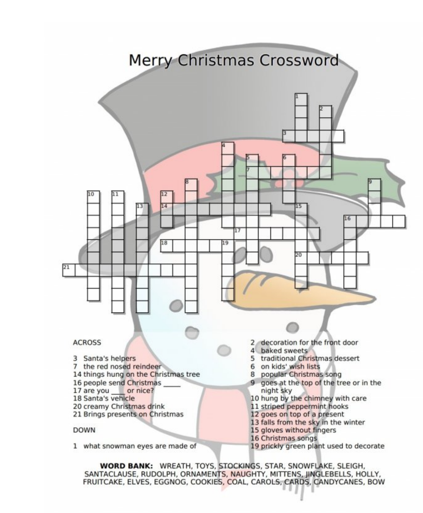

**WORD BANK: WREATH, TOYS, STOCKINGS, STAR, SNOWFLAKE, SLEIGH,** SANTACLAUSE, RUDOLPH, ORNAMENTS, NAUGHTY, MITTENS, JINGLEBELLS, HOLLY, FRUITCAKE, ELVES, EGGNOG, COOKIES, COAL, CAROLS, CARDS, CANDYCANES, BOW